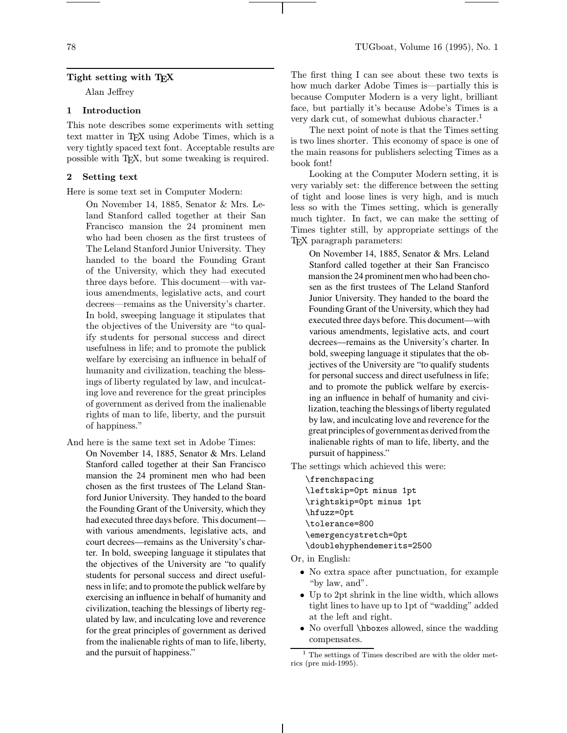# Tight setting with TEX

Alan Jeffrey

# 1 Introduction

This note describes some experiments with setting text matter in TEX using Adobe Times, which is a very tightly spaced text font. Acceptable results are possible with TEX, but some tweaking is required.

## 2 Setting text

Here is some text set in Computer Modern:

On November 14, 1885, Senator & Mrs. Leland Stanford called together at their San Francisco mansion the 24 prominent men who had been chosen as the first trustees of The Leland Stanford Junior University. They handed to the board the Founding Grant of the University, which they had executed three days before. This document—with various amendments, legislative acts, and court decrees—remains as the University's charter. In bold, sweeping language it stipulates that the objectives of the University are "to qualify students for personal success and direct usefulness in life; and to promote the publick welfare by exercising an influence in behalf of humanity and civilization, teaching the blessings of liberty regulated by law, and inculcating love and reverence for the great principles of government as derived from the inalienable rights of man to life, liberty, and the pursuit of happiness."

And here is the same text set in Adobe Times: On November 14, 1885, Senator & Mrs. Leland Stanford called together at their San Francisco mansion the 24 prominent men who had been chosen as the first trustees of The Leland Stanford Junior University. They handed to the board the Founding Grant of the University, which they had executed three days before. This document with various amendments, legislative acts, and court decrees—remains as the University's charter. In bold, sweeping language it stipulates that the objectives of the University are "to qualify students for personal success and direct usefulness in life; and to promote the publick welfare by exercising an influence in behalf of humanity and civilization, teaching the blessings of liberty regulated by law, and inculcating love and reverence for the great principles of government as derived from the inalienable rights of man to life, liberty, and the pursuit of happiness."

The first thing I can see about these two texts is how much darker Adobe Times is—partially this is because Computer Modern is a very light, brilliant face, but partially it's because Adobe's Times is a very dark cut, of somewhat dubious character.<sup>1</sup>

The next point of note is that the Times setting is two lines shorter. This economy of space is one of the main reasons for publishers selecting Times as a book font!

Looking at the Computer Modern setting, it is very variably set: the difference between the setting of tight and loose lines is very high, and is much less so with the Times setting, which is generally much tighter. In fact, we can make the setting of Times tighter still, by appropriate settings of the TEX paragraph parameters:

On November 14, 1885, Senator & Mrs. Leland Stanford called together at their San Francisco mansion the 24 prominent men who had been chosen as the first trustees of The Leland Stanford Junior University. They handed to the board the Founding Grant of the University, which they had executed three days before. This document—with various amendments, legislative acts, and court decrees—remains as the University's charter. In bold, sweeping language it stipulates that the objectives of the University are "to qualify students for personal success and direct usefulness in life; and to promote the publick welfare by exercising an influence in behalf of humanity and civilization, teaching the blessings of liberty regulated by law, and inculcating love and reverence for the great principles of government as derived from the inalienable rights of man to life, liberty, and the pursuit of happiness."

The settings which achieved this were:

\frenchspacing \leftskip=0pt minus 1pt \rightskip=0pt minus 1pt \hfuzz=0pt \tolerance=800 \emergencystretch=0pt \doublehyphendemerits=2500

Or, in English:

- No extra space after punctuation, for example "by law, and".
- Up to 2pt shrink in the line width, which allows tight lines to have up to 1pt of "wadding" added at the left and right.
- No overfull *\hboxes allowed*, since the wadding compensates.

<sup>1</sup> The settings of Times described are with the older metrics (pre mid-1995).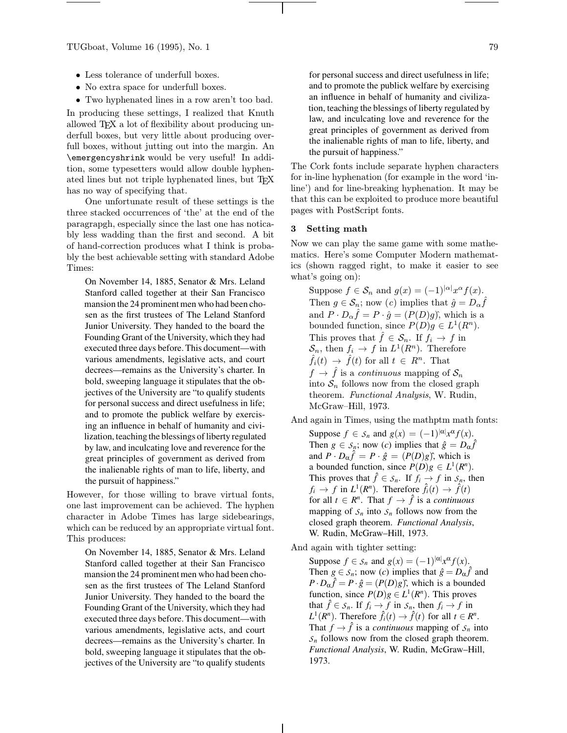- Less tolerance of underfull boxes.
- No extra space for underfull boxes.
- Two hyphenated lines in a row aren't too bad.

In producing these settings, I realized that Knuth allowed TEX a lot of flexibility about producing underfull boxes, but very little about producing overfull boxes, without jutting out into the margin. An \emergencyshrink would be very useful! In addition, some typesetters would allow double hyphenated lines but not triple hyphenated lines, but TFX has no way of specifying that.

One unfortunate result of these settings is the three stacked occurrences of 'the' at the end of the paragrapgh, especially since the last one has noticably less wadding than the first and second. A bit of hand-correction produces what I think is probably the best achievable setting with standard Adobe Times:

On November 14, 1885, Senator & Mrs. Leland Stanford called together at their San Francisco mansion the 24 prominent men who had been chosen as the first trustees of The Leland Stanford Junior University. They handed to the board the Founding Grant of the University, which they had executed three days before. This document—with various amendments, legislative acts, and court decrees—remains as the University's charter. In bold, sweeping language it stipulates that the objectives of the University are "to qualify students for personal success and direct usefulness in life; and to promote the publick welfare by exercising an influence in behalf of humanity and civilization, teaching the blessings of liberty regulated by law, and inculcating love and reverence for the great principles of government as derived from the inalienable rights of man to life, liberty, and the pursuit of happiness."

However, for those willing to brave virtual fonts, one last improvement can be achieved. The hyphen character in Adobe Times has large sidebearings, which can be reduced by an appropriate virtual font. This produces:

On November 14, 1885, Senator & Mrs. Leland Stanford called together at their San Francisco mansion the 24 prominent men who had been chosen as the first trustees of The Leland Stanford Junior University. They handed to the board the Founding Grant of the University, which they had executed three days before. This document—with various amendments, legislative acts, and court decrees—remains as the University's charter. In bold, sweeping language it stipulates that the objectives of the University are "to qualify students

for personal success and direct usefulness in life; and to promote the publick welfare by exercising an influence in behalf of humanity and civilization, teaching the blessings of liberty regulated by law, and inculcating love and reverence for the great principles of government as derived from the inalienable rights of man to life, liberty, and the pursuit of happiness."

The Cork fonts include separate hyphen characters for in-line hyphenation (for example in the word 'inline') and for line-breaking hyphenation. It may be that this can be exploited to produce more beautiful pages with PostScript fonts.

#### 3 Setting math

Now we can play the same game with some mathematics. Here's some Computer Modern mathematics (shown ragged right, to make it easier to see what's going on):

Suppose  $f \in S_n$  and  $g(x) = (-1)^{|\alpha|} x^{\alpha} f(x)$ . Then  $g \in \mathcal{S}_n$ ; now  $(c)$  implies that  $\hat{g} = D_{\alpha} \hat{f}$ and  $P \cdot D_{\alpha} \hat{f} = P \cdot \hat{g} = (P(D)g)$ <sup>\*</sup>, which is a bounded function, since  $P(D)g \in L^1(R^n)$ . This proves that  $\hat{f} \in \mathcal{S}_n$ . If  $f_i \to f$  in  $S_n$ , then  $f_i \to f$  in  $L^1(R^n)$ . Therefore  $\hat{f}_i(t) \rightarrow \hat{f}(t)$  for all  $t \in R^n$ . That  $f \to \hat{f}$  is a *continuous* mapping of  $\mathcal{S}_n$ into  $S_n$  follows now from the closed graph theorem. Functional Analysis, W. Rudin, McGraw–Hill, 1973.

- And again in Times, using the mathptm math fonts:
	- Suppose  $f \in S_n$  and  $g(x) = (-1)^{|\alpha|} x^{\alpha} f(x)$ . Then  $g \in S_n$ ; now (*c*) implies that  $\hat{g} = D_{\alpha} \hat{f}$ and  $P \cdot D_{\alpha} \hat{f} = P \cdot \hat{g} = (P(D)g)$ <sup>\*</sup>, which is a bounded function, since  $P(D)g \in L^1(R^n)$ . This proves that  $\hat{f} \in S_n$ . If  $f_i \to f$  in  $S_n$ , then  $f_i \rightarrow f$  in  $L^1(R^n)$ . Therefore  $\hat{f}_i(t) \rightarrow \hat{f}(t)$ for all  $t \in R^n$ . That  $f \to \hat{f}$  is a *continuous* mapping of  $S_n$  into  $S_n$  follows now from the closed graph theorem. *Functional Analysis*, W. Rudin, McGraw–Hill, 1973.
- And again with tighter setting:

Suppose  $f \in S_n$  and  $g(x) = (-1)^{|\alpha|} x^{\alpha} f(x)$ . Then  $g \in S_n$ ; now (*c*) implies that  $\hat{g} = D_\alpha \hat{f}$  and  $P \cdot D_{\alpha} \hat{f} = P \cdot \hat{g} = (P(D)g)$ <sup>\*</sup>, which is a bounded function, since  $P(D)g \in L^1(R^n)$ . This proves that  $\hat{f} \in S_n$ . If  $f_i \to f$  in  $S_n$ , then  $f_i \to f$  in  $L^1(R^n)$ . Therefore  $\hat{f}_i(t) \to \hat{f}(t)$  for all  $t \in R^n$ . That  $f \rightarrow f$  is a *continuous* mapping of  $S_n$  into  $S<sub>n</sub>$  follows now from the closed graph theorem. *Functional Analysis*, W. Rudin, McGraw–Hill, 1973.